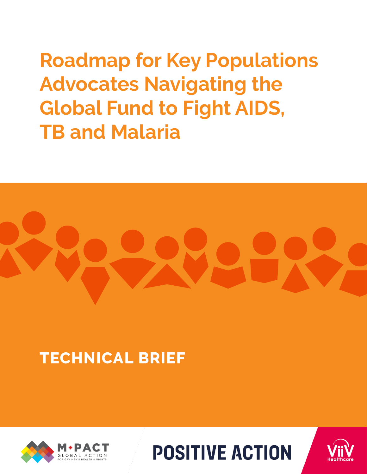**Roadmap for Key Populations Advocates Navigating the Global Fund to Fight AIDS, TB and Malaria**



# **TECHNICAL BRIEF**





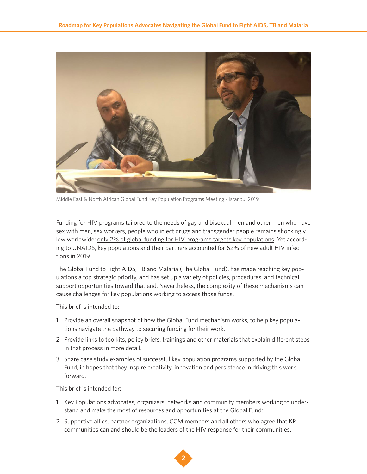

Middle East & North African Global Fund Key Population Programs Meeting - Istanbul 2019

Funding for HIV programs tailored to the needs of gay and bisexual men and other men who have sex with men, sex workers, people who inject drugs and transgender people remains shockingly low worldwide: [only 2% of global funding for HIV programs targets key populations.](https://aidsfonds.org/assets/resource/file/Fast-Track%20or%20Off%20Track%20report-final.pdf) Yet according to UNAIDS, [key populations and their partners accounted for 62% of new adult HIV infec](https://www.unaids.org/en/resources/presscentre/featurestories/2020/december/20201207_new-hiv-infections-increasing)[tions in 2019.](https://www.unaids.org/en/resources/presscentre/featurestories/2020/december/20201207_new-hiv-infections-increasing)

[The Global Fund to Fight AIDS, TB and Malaria](https://www.theglobalfund.org/en/) (The Global Fund), has made reaching key populations a top strategic priority, and has set up a variety of policies, procedures, and technical support opportunities toward that end. Nevertheless, the complexity of these mechanisms can cause challenges for key populations working to access those funds.

This brief is intended to:

- 1. Provide an overall snapshot of how the Global Fund mechanism works, to help key populations navigate the pathway to securing funding for their work.
- 2. Provide links to toolkits, policy briefs, trainings and other materials that explain different steps in that process in more detail.
- 3. Share case study examples of successful key population programs supported by the Global Fund, in hopes that they inspire creativity, innovation and persistence in driving this work forward.

This brief is intended for:

- 1. Key Populations advocates, organizers, networks and community members working to understand and make the most of resources and opportunities at the Global Fund;
- 2. Supportive allies, partner organizations, CCM members and all others who agree that KP communities can and should be the leaders of the HIV response for their communities.

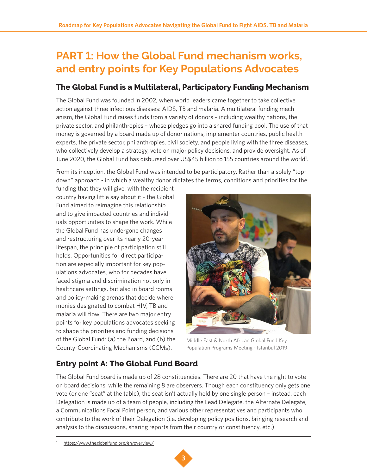# **PART 1: How the Global Fund mechanism works, and entry points for Key Populations Advocates**

# **The Global Fund is a Multilateral, Participatory Funding Mechanism**

The Global Fund was founded in 2002, when world leaders came together to take collective action against three infectious diseases: AIDS, TB and malaria. A multilateral funding mechanism, the Global Fund raises funds from a variety of donors – including wealthy nations, the private sector, and philanthropies – whose pledges go into a shared funding pool. The use of that money is governed by a [board](https://www.theglobalfund.org/en/board/) made up of donor nations, implementer countries, public health experts, the private sector, philanthropies, civil society, and people living with the three diseases, who collectively develop a strategy, vote on major policy decisions, and provide oversight. As of June 2020, the Global Fund has disbursed over US\$45 billion to 155 countries around the world<sup>1</sup>.

From its inception, the Global Fund was intended to be participatory. Rather than a solely "topdown" approach - in which a wealthy donor dictates the terms, conditions and priorities for the

funding that they will give, with the recipient country having little say about it - the Global Fund aimed to reimagine this relationship and to give impacted countries and individuals opportunities to shape the work. While the Global Fund has undergone changes and restructuring over its nearly 20-year lifespan, the principle of participation still holds. Opportunities for direct participation are especially important for key populations advocates, who for decades have faced stigma and discrimination not only in healthcare settings, but also in board rooms and policy-making arenas that decide where monies designated to combat HIV, TB and malaria will flow. There are two major entry points for key populations advocates seeking to shape the priorities and funding decisions of the Global Fund: (a) the Board, and (b) the County-Coordinating Mechanisms (CCMs).



Middle East & North African Global Fund Key Population Programs Meeting - Istanbul 2019

# **Entry point A: The Global Fund Board**

The Global Fund board is made up of 28 constituencies. There are 20 that have the right to vote on board decisions, while the remaining 8 are observers. Though each constituency only gets one vote (or one "seat" at the table), the seat isn't actually held by one single person – instead, each Delegation is made up of a team of people, including the Lead Delegate, the Alternate Delegate, a Communications Focal Point person, and various other representatives and participants who contribute to the work of their Delegation (i.e. developing policy positions, bringing research and analysis to the discussions, sharing reports from their country or constituency, etc.)

<sup>1</sup> <https://www.theglobalfund.org/en/overview/>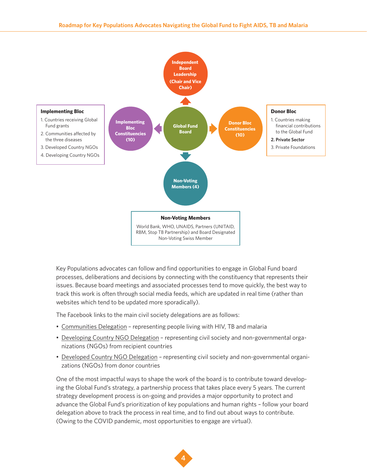

Key Populations advocates can follow and find opportunities to engage in Global Fund board processes, deliberations and decisions by connecting with the constituency that represents their issues. Because board meetings and associated processes tend to move quickly, the best way to track this work is often through social media feeds, which are updated in real time (rather than websites which tend to be updated more sporadically).

The Facebook links to the main civil society delegations are as follows:

- [Communities Delegation](https://www.facebook.com/CommunitiesDelegation)  representing people living with HIV, TB and malaria
- [Developing Country NGO Delegation](https://www.facebook.com/developingNGOs/) representing civil society and non-governmental organizations (NGOs) from recipient countries
- [Developed Country NGO Delegation](https://www.facebook.com/DevelopedCountryNGO/)  representing civil society and non-governmental organizations (NGOs) from donor countries

One of the most impactful ways to shape the work of the board is to contribute toward developing the Global Fund's strategy, a partnership process that takes place every 5 years. The current strategy development process is on-going and provides a major opportunity to protect and advance the Global Fund's prioritization of key populations and human rights – follow your board delegation above to track the process in real time, and to find out about ways to contribute. (Owing to the COVID pandemic, most opportunities to engage are virtual).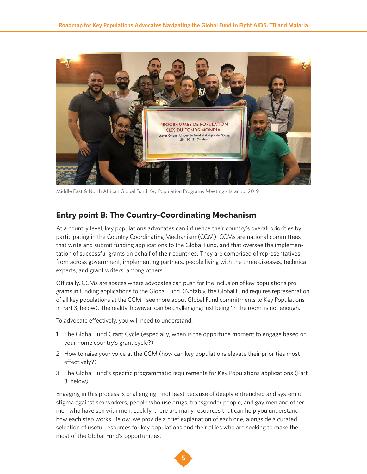

Middle East & North African Global Fund Key Population Programs Meeting - Istanbul 2019

# **Entry point B: The Country-Coordinating Mechanism**

At a country level, key populations advocates can influence their country's overall priorities by participating in the [Country Coordinating Mechanism \(CCM\)](https://www.theglobalfund.org/en/country-coordinating-mechanism/). CCMs are national committees that write and submit funding applications to the Global Fund, and that oversee the implementation of successful grants on behalf of their countries. They are comprised of representatives from across government, implementing partners, people living with the three diseases, technical experts, and grant writers, among others.

Officially, CCMs are spaces where advocates can push for the inclusion of key populations programs in funding applications to the Global Fund. (Notably, the Global Fund requires representation of all key populations at the CCM - see more about Global Fund commitments to Key Populations in Part 3, below). The reality, however, can be challenging; just being 'in the room' is not enough.

To advocate effectively, you will need to understand:

- 1. The Global Fund Grant Cycle (especially, when is the opportune moment to engage based on your home country's grant cycle?)
- 2. How to raise your voice at the CCM (how can key populations elevate their priorities most effectively?)
- 3. The Global Fund's specific programmatic requirements for Key Populations applications (Part 3, below)

Engaging in this process is challenging – not least because of deeply entrenched and systemic stigma against sex workers, people who use drugs, transgender people, and gay men and other men who have sex with men. Luckily, there are many resources that can help you understand how each step works. Below, we provide a brief explanation of each one, alongside a curated selection of useful resources for key populations and their allies who are seeking to make the most of the Global Fund's opportunities.

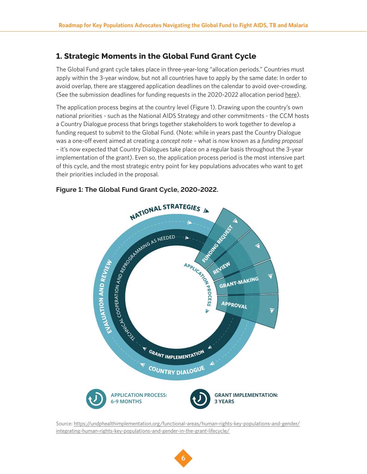# **1. Strategic Moments in the Global Fund Grant Cycle**

The Global Fund grant cycle takes place in three-year-long "allocation periods." Countries must apply within the 3-year window, but not all countries have to apply by the same date: In order to avoid overlap, there are staggered application deadlines on the calendar to avoid over-crowding. (See the submission deadlines for funding requests in the 2020-2022 allocation period [here](https://www.theglobalfund.org/en/funding-model/applying/submissions/)).

The application process begins at the country level (Figure 1). Drawing upon the country's own national priorities - such as the National AIDS Strategy and other commitments - the CCM hosts a Country Dialogue process that brings together stakeholders to work together to develop a funding request to submit to the Global Fund. (Note: while in years past the Country Dialogue was a one-off event aimed at creating a *concept note* – what is now known as a *funding proposal* – it's now expected that Country Dialogues take place on a regular basis throughout the 3-year implementation of the grant). Even so, the application process period is the most intensive part of this cycle, and the most strategic entry point for key populations advocates who want to get their priorities included in the proposal.

### **A**<br>**TE**<br>**E**<br>**T <sup>A</sup>PPLICAT<sup>I</sup>O<sup>N</sup> PROCESS** f <sup>ƒ</sup> **<sup>C</sup>OUNTR<sup>Y</sup> <sup>D</sup>IALOGU<sup>E</sup>** <sup>ƒ</sup> **E**<br>LALLA US **OI N A N D REVIEW** f <sup>ƒ</sup> **<sup>G</sup>RAN<sup>T</sup> <sup>I</sup>MPLEMENTATIO<sup>N</sup>** <sup>ƒ</sup> THUS L z<br>S COOPERATIO N AND REPROGRAMMING AS NEEDED FOR **FUNDING REQUEST**  $\blacktriangleleft$  $\blacktriangledown$  $\overline{\mathbf{v}}$ **REVIEW GRANT-MAKING APPROVAL APPLICATION PROCESS: 6-9 MONTHS GRANT IMPLEMENTATION: 3 YEARS**

## **Figure 1: The Global Fund Grant Cycle, 2020-2022.**

Source: [https://undphealthimplementation.org/functional-areas/human-rights-key-populations-and-gender/](https://undphealthimplementation.org/functional-areas/human-rights-key-populations-and-gender/integrating-human-rights-key-populations-and-gender-in-the-grant-lifecycle/) [integrating-human-rights-key-populations-and-gender-in-the-grant-lifecycle/](https://undphealthimplementation.org/functional-areas/human-rights-key-populations-and-gender/integrating-human-rights-key-populations-and-gender-in-the-grant-lifecycle/)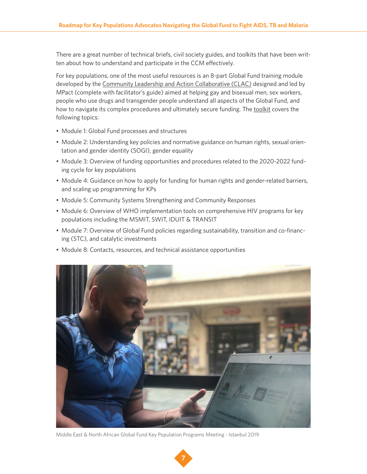There are a great number of technical briefs, civil society guides, and toolkits that have been written about how to understand and participate in the CCM effectively.

For key populations, one of the most useful resources is an 8-part Global Fund training module developed by the [Community Leadership and Action Collaborative \(CLAC\)](https://mpactglobal.org/new-updated-global-fund-toolkit-by-clac-and-mpact-on-increasing-accessing-to-resources-to-fight-hiv-tb-and-malaria/) designed and led by MPact (complete with facilitator's guide) aimed at helping gay and bisexual men, sex workers, people who use drugs and transgender people understand all aspects of the Global Fund, and how to navigate its complex procedures and ultimately secure funding. The [toolkit](https://mpactglobal.org/new-updated-global-fund-toolkit-by-clac-and-mpact-on-increasing-accessing-to-resources-to-fight-hiv-tb-and-malaria/) covers the following topics:

- Module 1: Global Fund processes and structures
- Module 2: Understanding key policies and normative guidance on human rights, sexual orientation and gender identity (SOGI), gender equality
- Module 3: Overview of funding opportunities and procedures related to the 2020-2022 funding cycle for key populations
- Module 4: Guidance on how to apply for funding for human rights and gender-related barriers, and scaling up programming for KPs
- Module 5: Community Systems Strengthening and Community Responses
- Module 6: Overview of WHO implementation tools on comprehensive HIV programs for key populations including the MSMIT, SWIT, IDUIT & TRANSIT
- Module 7: Overview of Global Fund policies regarding sustainability, transition and co-financing (STC), and catalytic investments
- Module 8: Contacts, resources, and technical assistance opportunities



Middle East & North African Global Fund Key Population Programs Meeting - Istanbul 2019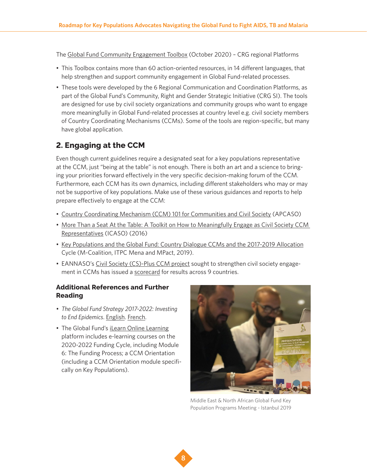The [Global Fund Community Engagement Toolbox](https://eannaso.org/eannaso/tools-and-guidelines/) (October 2020) – CRG regional Platforms

- This Toolbox contains more than 60 action-oriented resources, in 14 different languages, that help strengthen and support community engagement in Global Fund-related processes.
- These tools were developed by the 6 Regional Communication and Coordination Platforms, as part of the Global Fund's Community, Right and Gender Strategic Initiative (CRG SI). The tools are designed for use by civil society organizations and community groups who want to engage more meaningfully in Global Fund-related processes at country level e.g. civil society members of Country Coordinating Mechanisms (CCMs). Some of the tools are region-specific, but many have global application.

# **2. Engaging at the CCM**

Even though current guidelines require a designated seat for a key populations representative at the CCM, just "being at the table" is not enough. There is both an art and a science to bringing your priorities forward effectively in the very specific decision-making forum of the CCM. Furthermore, each CCM has its own dynamics, including different stakeholders who may or may not be supportive of key populations. Make use of these various guidances and reports to help prepare effectively to engage at the CCM:

- [Country Coordinating Mechanism \(CCM\) 101 for Communities and Civil Society](https://apcaso.org/apcrg/country-coordinating-mechanism-ccm-101-for-communities-and-civil-society/) (APCASO)
- [More Than a Seat At the Table: A Toolkit on How to Meaningfully Engage as Civil Society CCM](http://icaso.org/wp-content/uploads/2016/09/CCM-Toolkit-web-version.pdf)  [Representatives](http://icaso.org/wp-content/uploads/2016/09/CCM-Toolkit-web-version.pdf) (ICASO) (2016)
- [Key Populations and the Global Fund: Country Dialogue CCMs and the 2017-2019 Allocation](http://m-coalition.org/wp-content/uploads/2019/05/M-Coalition-info-sheet-KP-in-GF-ENG.pdf) Cycle (M-Coalition, ITPC Mena and MPact, 2019).
- EANNASO's [Civil Society \(CS\)-Plus CCM project](https://eannaso.org/civil-society-cs-ccm-plus-project/) sought to strengthen civil society engagement in CCMs has issued a [scorecard](file:///Users/nbp02004/Downloads/CCM%20Scorecard.pdf) for results across 9 countries.

**8**

# **Additional References and Further Reading**

- *• The Global Fund Strategy 2017-2022: Investing to End Epidemics*. [English](https://www.theglobalfund.org/media/2531/core_globalfundstrategy2017-2022_strategy_en.pdf?u=637341380581430000). [French](https://www.theglobalfund.org/media/7856/core_globalfundstrategy2017-2022_strategy_fr.pdf?u=637319004994430000).
- The Global Fund's [iLearn Online Learning](https://www.theglobalfund.org/en/ilearn/) platform includes e-learning courses on the 2020-2022 Funding Cycle, including Module 6: The Funding Process; a CCM Orientation (including a CCM Orientation module specifically on Key Populations).



Middle East & North African Global Fund Key Population Programs Meeting - Istanbul 2019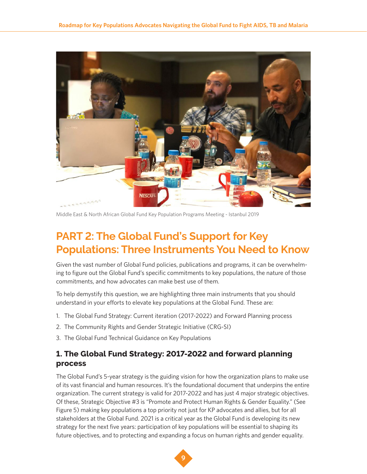

Middle East & North African Global Fund Key Population Programs Meeting - Istanbul 2019

# **PART 2: The Global Fund's Support for Key Populations: Three Instruments You Need to Know**

Given the vast number of Global Fund policies, publications and programs, it can be overwhelming to figure out the Global Fund's specific commitments to key populations, the nature of those commitments, and how advocates can make best use of them.

To help demystify this question, we are highlighting three main instruments that you should understand in your efforts to elevate key populations at the Global Fund. These are:

- 1. The Global Fund Strategy: Current iteration (2017-2022) and Forward Planning process
- 2. The Community Rights and Gender Strategic Initiative (CRG-SI)
- 3. The Global Fund Technical Guidance on Key Populations

# **1. The Global Fund Strategy: 2017-2022 and forward planning process**

The Global Fund's 5-year strategy is the guiding vision for how the organization plans to make use of its vast financial and human resources. It's the foundational document that underpins the entire organization. The current strategy is valid for 2017-2022 and has just 4 major strategic objectives. Of these, Strategic Objective #3 is "Promote and Protect Human Rights & Gender Equality." (See Figure 5) making key populations a top priority not just for KP advocates and allies, but for all stakeholders at the Global Fund. 2021 is a critical year as the Global Fund is developing its new strategy for the next five years: participation of key populations will be essential to shaping its future objectives, and to protecting and expanding a focus on human rights and gender equality.

![](_page_8_Picture_11.jpeg)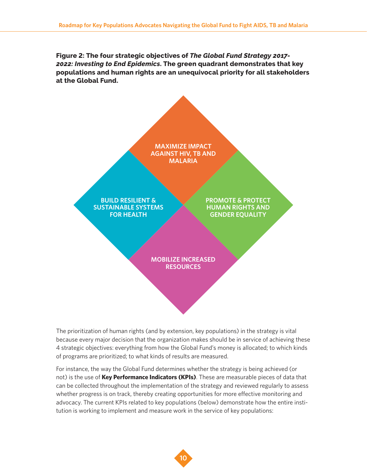**Figure 2: The four strategic objectives of** *The Global Fund Strategy 2017- 2022: Investing to End Epidemics***. The green quadrant demonstrates that key populations and human rights are an unequivocal priority for all stakeholders at the Global Fund.**

![](_page_9_Figure_2.jpeg)

The prioritization of human rights (and by extension, key populations) in the strategy is vital because every major decision that the organization makes should be in service of achieving these 4 strategic objectives: everything from how the Global Fund's money is allocated; to which kinds of programs are prioritized; to what kinds of results are measured.

For instance, the way the Global Fund determines whether the strategy is being achieved (or not) is the use of **Key Performance Indicators (KPIs)**. These are measurable pieces of data that can be collected throughout the implementation of the strategy and reviewed regularly to assess whether progress is on track, thereby creating opportunities for more effective monitoring and advocacy. The current KPIs related to key populations (below) demonstrate how the entire institution is working to implement and measure work in the service of key populations: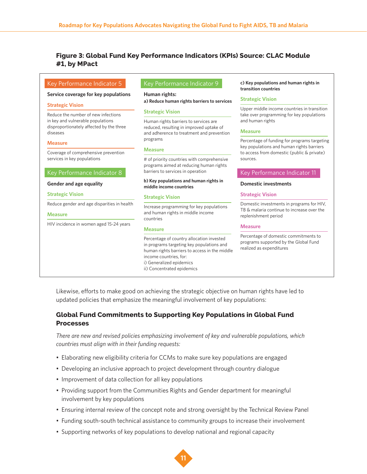# **Figure 3: Global Fund Key Performance Indicators (KPIs) Source: CLAC Module #1, by MPact**

| Key Performance Indicator 5                                                   | Key Performance Indicator 9                                                                                                                                                                                                 | c) Key populations and human rights in<br>transition countries                                             |  |  |  |
|-------------------------------------------------------------------------------|-----------------------------------------------------------------------------------------------------------------------------------------------------------------------------------------------------------------------------|------------------------------------------------------------------------------------------------------------|--|--|--|
| Service coverage for key populations                                          | Human rights:<br>a) Reduce human rights barriers to services                                                                                                                                                                | <b>Strategic Vision</b>                                                                                    |  |  |  |
| <b>Strategic Vision</b><br>Reduce the number of new infections                | <b>Strategic Vision</b>                                                                                                                                                                                                     | Upper middle income countries in transition<br>take over programming for key populations                   |  |  |  |
| in key and vulnerable populations<br>disproportionately affected by the three | Human rights barriers to services are<br>reduced, resulting in improved uptake of                                                                                                                                           | and human rights                                                                                           |  |  |  |
| diseases                                                                      | and adherence to treatment and prevention                                                                                                                                                                                   | <b>Measure</b>                                                                                             |  |  |  |
| <b>Measure</b>                                                                | programs                                                                                                                                                                                                                    | Percentage of funding for programs targeting<br>key populations and human rights barriers                  |  |  |  |
| Coverage of comprehensive prevention                                          | <b>Measure</b>                                                                                                                                                                                                              | to access from domestic (public & private)                                                                 |  |  |  |
| services in key populations                                                   | # of priority countries with comprehensive<br>programs aimed at reducing human rights                                                                                                                                       | sources.                                                                                                   |  |  |  |
| Key Performance Indicator 8                                                   | barriers to services in operation                                                                                                                                                                                           | Key Performance Indicator 11                                                                               |  |  |  |
| Gender and age equality                                                       | b) Key populations and human rights in<br>middle income countries                                                                                                                                                           | <b>Domestic investments</b>                                                                                |  |  |  |
| <b>Strategic Vision</b>                                                       | <b>Strategic Vision</b>                                                                                                                                                                                                     | <b>Strategic Vision</b>                                                                                    |  |  |  |
| Reduce gender and age disparities in health                                   | Increase programming for key populations                                                                                                                                                                                    | Domestic investments in programs for HIV,                                                                  |  |  |  |
| <b>Measure</b>                                                                | and human rights in middle income<br>countries                                                                                                                                                                              | TB & malaria continue to increase over the<br>replenishment period                                         |  |  |  |
| HIV incidence in women aged 15-24 years                                       | <b>Measure</b>                                                                                                                                                                                                              | <b>Measure</b>                                                                                             |  |  |  |
|                                                                               | Percentage of country allocation invested<br>in programs targeting key populations and<br>human rights barriers to access in the middle<br>income countries, for:<br>i) Generalized epidemics<br>ii) Concentrated epidemics | Percentage of domestic commitments to<br>programs supported by the Global Fund<br>realized as expenditures |  |  |  |

Likewise, efforts to make good on achieving the strategic objective on human rights have led to updated policies that emphasize the meaningful involvement of key populations:

# **Global Fund Commitments to Supporting Key Populations in Global Fund Processes**

*There are new and revised policies emphasizing involvement of key and vulnerable populations, which countries must align with in their funding requests:*

- Elaborating new eligibility criteria for CCMs to make sure key populations are engaged
- Developing an inclusive approach to project development through country dialogue
- Improvement of data collection for all key populations
- Providing support from the Communities Rights and Gender department for meaningful involvement by key populations
- Ensuring internal review of the concept note and strong oversight by the Technical Review Panel
- Funding south-south technical assistance to community groups to increase their involvement
- Supporting networks of key populations to develop national and regional capacity

![](_page_10_Picture_13.jpeg)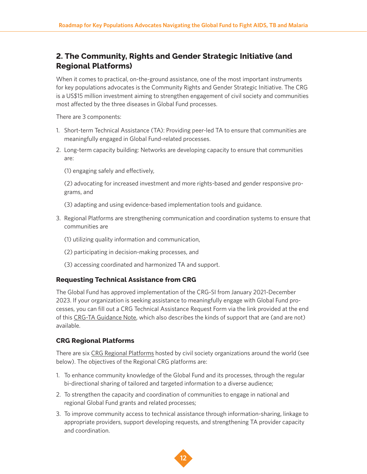# **2. The Community, Rights and Gender Strategic Initiative (and Regional Platforms)**

When it comes to practical, on-the-ground assistance, one of the most important instruments for key populations advocates is the Community Rights and Gender Strategic Initiative. The CRG is a US\$15 million investment aiming to strengthen engagement of civil society and communities most affected by the three diseases in Global Fund processes.

There are 3 components:

- 1. Short-term Technical Assistance (TA): Providing peer-led TA to ensure that communities are meaningfully engaged in Global Fund-related processes.
- 2. Long-term capacity building: Networks are developing capacity to ensure that communities are:
	- (1) engaging safely and effectively,

(2) advocating for increased investment and more rights-based and gender responsive programs, and

- (3) adapting and using evidence-based implementation tools and guidance.
- 3. Regional Platforms are strengthening communication and coordination systems to ensure that communities are
	- (1) utilizing quality information and communication,
	- (2) participating in decision-making processes, and
	- (3) accessing coordinated and harmonized TA and support.

#### **Requesting Technical Assistance from CRG**

The Global Fund has approved implementation of the CRG-SI from January 2021-December 2023. If your organization is seeking assistance to meaningfully engage with Global Fund processes, you can fill out a CRG Technical Assistance Request Form via the link provided at the end of this [CRG-TA Guidance Note](https://www.theglobalfund.org/media/10403/crg_technicalassistanceguidance_note_en.pdf), which also describes the kinds of support that are (and are not) available.

### **CRG Regional Platforms**

There are six [CRG Regional Platforms](https://www.theglobalfund.org/media/10393/crg_regionalplatforms_contactdetails_en.pdf) hosted by civil society organizations around the world (see below). The objectives of the Regional CRG platforms are:

- 1. To enhance community knowledge of the Global Fund and its processes, through the regular bi-directional sharing of tailored and targeted information to a diverse audience;
- 2. To strengthen the capacity and coordination of communities to engage in national and regional Global Fund grants and related processes;
- 3. To improve community access to technical assistance through information-sharing, linkage to appropriate providers, support developing requests, and strengthening TA provider capacity and coordination.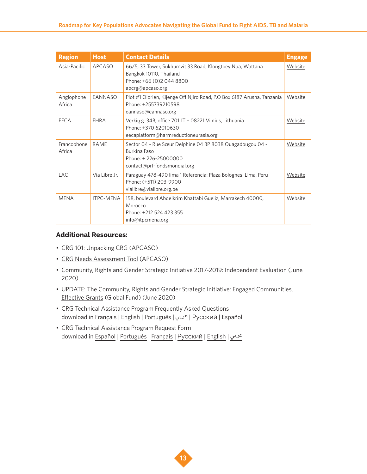| <b>Region</b>         | <b>Host</b>      | <b>Contact Details</b>                                                                                                               | <b>Engage</b> |
|-----------------------|------------------|--------------------------------------------------------------------------------------------------------------------------------------|---------------|
| Asia-Pacific          | <b>APCASO</b>    | 66/5, 33 Tower, Sukhumvit 33 Road, Klongtoey Nua, Wattana<br>Bangkok 10110, Thailand<br>Phone: +66 (0) 2044 8800<br>apcrg@apcaso.org |               |
| Anglophone<br>Africa  | EANNASO          | Plot #1 Olorien, Kijenge Off Njiro Road, P.O Box 6187 Arusha, Tanzania<br>Phone: +255739210598<br>eannaso@eannaso.org                | Website       |
| EECA                  | <b>FHRA</b>      | Verkių g. 34B, office 701 LT - 08221 Vilnius, Lithuania<br>Phone: +370 62010630<br>eecaplatform@harmreductioneurasia.org             | Website       |
| Francophone<br>Africa | <b>RAME</b>      | Sector 04 - Rue Sœur Delphine 04 BP 8038 Ouagadougou 04 -<br>Burkina Faso<br>Phone: +226-25000000<br>contact@prf-fondsmondial.org    | Website       |
| <b>LAC</b>            | Via Libre Jr.    | Paraguay 478-490 lima 1 Referencia: Plaza Bolognesi Lima, Peru<br>Phone: (+511) 203-9900<br>vialibre@vialibre.org.pe                 | Website       |
| <b>MENA</b>           | <b>ITPC-MENA</b> | 158, boulevard Abdelkrim Khattabi Gueliz, Marrakech 40000,<br>Morocco<br>Phone: +212 524 423 355<br>info@itpcmena.org                | Website       |

## **Additional Resources:**

- [CRG 101: Unpacking CRG](https://apcaso.org/apcrg/unpacking-crg/) (APCASO)
- [CRG Needs Assessment Tool](https://apcaso.org/apcrg/crg-needs-assessment/) (APCASO)
- [Community, Rights and Gender Strategic Initiative 2017-2019: Independent Evaluation](https://www.theglobalfund.org/media/9947/crg_2017-2019strategicinitiativeindependent_evaluation_en.pdf?u=637302220320000000) (June 2020)
- [UPDATE: The Community, Rights and Gender Strategic Initiative: Engaged Communities,](https://www.theglobalfund.org/media/9948/crg_2020-06-strategicinitiative_update_en.pdf?u=637303137990000000)  [Effective Grants](https://www.theglobalfund.org/media/9948/crg_2020-06-strategicinitiative_update_en.pdf?u=637303137990000000) (Global Fund) (June 2020)
- CRG Technical Assistance Program Frequently Asked Questions download in [Français](https://www.theglobalfund.org/media/6934/fundingmodel_crgtaprogram_faq_fr.pdf?u=637319004112800000) | [English](https://www.theglobalfund.org/media/6938/fundingmodel_crgtaprogram_faq_en.pdf?u=637319005225170000) | [Português](https://www.theglobalfund.org/media/6935/fundingmodel_crgtaprogram_faq_pt.pdf?u=637319005774270000) | [عربي](https://www.theglobalfund.org/media/6937/fundingmodel_crgtaprogram_faq_ar.pdf?u=637319006074230000) | [Русский](https://www.theglobalfund.org/media/6936/fundingmodel_crgtaprogram_faq_ru.pdf?u=637319006128900000) | [Español](https://www.theglobalfund.org/media/6939/fundingmodel_crgtaprogram_faq_es.pdf?u=637319006231170000)
- CRG Technical Assistance Program Request Form download in Español | Português | Français | Русский | [English](https://www.theglobalfund.org/media/5626/fundingmodel_crgtechnicalassistancerequest_form_en.docx?u=637319006052270000) | عربي

![](_page_12_Picture_9.jpeg)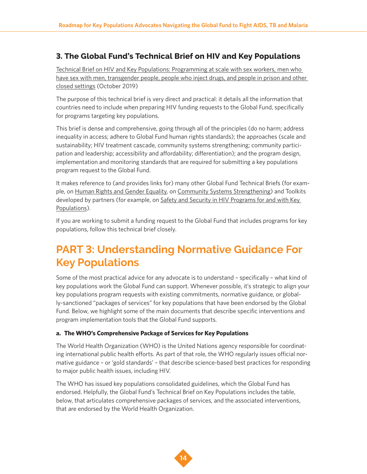# **3. The Global Fund's Technical Brief on HIV and Key Populations**

[Technical Brief on HIV and Key Populations: Programming at scale with sex workers, men who](https://www.theglobalfund.org/media/4794/core_keypopulations_technicalbrief_en.pdf)  [have sex with men, transgender people, people who inject drugs, and people in prison and other](https://www.theglobalfund.org/media/4794/core_keypopulations_technicalbrief_en.pdf)  [closed settings](https://www.theglobalfund.org/media/4794/core_keypopulations_technicalbrief_en.pdf) (October 2019)

The purpose of this technical brief is very direct and practical: it details all the information that countries need to include when preparing HIV funding requests to the Global Fund, specifically for programs targeting key populations.

This brief is dense and comprehensive, going through all of the principles (do no harm; address inequality in access; adhere to Global Fund human rights standards); the approaches (scale and sustainability; HIV treatment cascade, community systems strengthening; community participation and leadership; accessibility and affordability; differentiation); and the program design, implementation and monitoring standards that are required for submitting a key populations program request to the Global Fund.

It makes reference to (and provides links for) many other Global Fund Technical Briefs (for exam-ple, on [Human Rights and Gender Equality](https://www.theglobalfund.org/media/6348/core_hivhumanrightsgenderequality_technicalbrief_en.pdf), on [Community Systems Strengthening](https://www.theglobalfund.org/media/4790/core_communitysystems_technicalbrief_en.pdf)) and Toolkits developed by partners (for example, on Safety and Security in HIV Programs for and with Key [Populations\)](https://www.fhi360.org/sites/default/files/media/documents/resource-linkages-safety-security-toolkit.pdf).

If you are working to submit a funding request to the Global Fund that includes programs for key populations, follow this technical brief closely.

# **PART 3: Understanding Normative Guidance For Key Populations**

Some of the most practical advice for any advocate is to understand – specifically – what kind of key populations work the Global Fund can support. Whenever possible, it's strategic to align your key populations program requests with existing commitments, normative guidance, or globally-sanctioned "packages of services" for key populations that have been endorsed by the Global Fund. Below, we highlight some of the main documents that describe specific interventions and program implementation tools that the Global Fund supports.

### **a. The WHO's Comprehensive Package of Services for Key Populations**

The World Health Organization (WHO) is the United Nations agency responsible for coordinating international public health efforts. As part of that role, the WHO regularly issues official normative guidance – or 'gold standards' – that describe science-based best practices for responding to major public health issues, including HIV.

The WHO has issued key populations consolidated guidelines, which the Global Fund has endorsed. Helpfully, the Global Fund's Technical Brief on Key Populations includes the table, below, that articulates comprehensive packages of services, and the associated interventions, that are endorsed by the World Health Organization.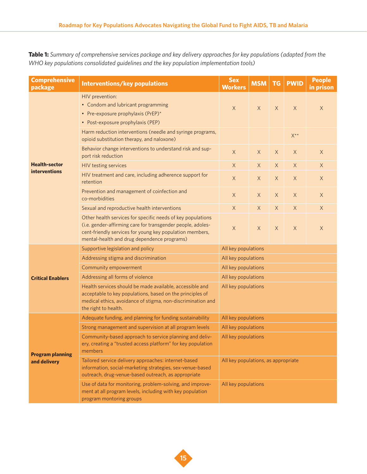**Table 1:** *Summary of comprehensive services package and key delivery approaches for key populations (adapted from the WHO key populations consolidated guidelines and the key population implementation tools)*

| <b>Comprehensive</b><br>package              | <b>Interventions/key populations</b>                                                                                                                                                                                                  | <b>Sex</b><br><b>Workers</b>        | <b>MSM</b>  | <b>TG</b>   | <b>PWID</b>      | <b>People</b><br>in prison |  |
|----------------------------------------------|---------------------------------------------------------------------------------------------------------------------------------------------------------------------------------------------------------------------------------------|-------------------------------------|-------------|-------------|------------------|----------------------------|--|
| <b>Health-sector</b><br><b>interventions</b> | HIV prevention:<br>• Condom and lubricant programming<br>• Pre-exposure prophylaxis (PrEP)*<br>• Post-exposure prophylaxis (PEP)                                                                                                      | $\mathsf X$                         | $\times$    | $\times$    | X                | $\times$                   |  |
|                                              | Harm reduction interventions (needle and syringe programs,<br>opioid substitution therapy, and naloxone)                                                                                                                              |                                     |             |             | $X^{\star\star}$ |                            |  |
|                                              | Behavior change interventions to understand risk and sup-<br>port risk reduction                                                                                                                                                      | $\times$                            | $\times$    | $\mathsf X$ | X                | $\times$                   |  |
|                                              | HIV testing services                                                                                                                                                                                                                  | $\mathsf X$                         | $\mathsf X$ | $\mathsf X$ | $\mathsf X$      | $\mathsf X$                |  |
|                                              | HIV treatment and care, including adherence support for<br>retention                                                                                                                                                                  | $\mathsf X$                         | $\mathsf X$ | $\mathsf X$ | $\mathsf X$      | $\times$                   |  |
|                                              | Prevention and management of coinfection and<br>co-morbidities                                                                                                                                                                        | $\times$                            | $\times$    | $\mathsf X$ | $\mathsf X$      | $\times$                   |  |
|                                              | Sexual and reproductive health interventions                                                                                                                                                                                          | $\mathsf X$                         | $\times$    | $\mathsf X$ | $\times$         | $\mathsf X$                |  |
|                                              | Other health services for specific needs of key populations<br>(i.e. gender-affirming care for transgender people, adoles-<br>cent-friendly services for young key population members,<br>mental-health and drug dependence programs) | $\mathsf X$                         | X           | $\mathsf X$ | $\mathsf X$      | $\times$                   |  |
|                                              | Supportive legislation and policy                                                                                                                                                                                                     | All key populations                 |             |             |                  |                            |  |
|                                              | Addressing stigma and discrimination                                                                                                                                                                                                  | All key populations                 |             |             |                  |                            |  |
|                                              | Community empowerment                                                                                                                                                                                                                 | All key populations                 |             |             |                  |                            |  |
| <b>Critical Enablers</b>                     | Addressing all forms of violence                                                                                                                                                                                                      | All key populations                 |             |             |                  |                            |  |
|                                              | Health services should be made available, accessible and<br>acceptable to key populations, based on the principles of<br>medical ethics, avoidance of stigma, non-discrimination and<br>the right to health.                          | All key populations                 |             |             |                  |                            |  |
| <b>Program planning</b><br>and delivery      | Adequate funding, and planning for funding sustainability                                                                                                                                                                             | All key populations                 |             |             |                  |                            |  |
|                                              | Strong management and supervision at all program levels                                                                                                                                                                               | All key populations                 |             |             |                  |                            |  |
|                                              | Community-based approach to service planning and deliv-<br>ery, creating a "trusted access platform" for key population<br>members                                                                                                    | All key populations                 |             |             |                  |                            |  |
|                                              | Tailored service delivery approaches: internet-based<br>information, social-marketing strategies, sex-venue-based<br>outreach, drug-venue-based outreach, as appropriate                                                              | All key populations, as appropriate |             |             |                  |                            |  |
|                                              | Use of data for monitoring, problem-solving, and improve-<br>ment at all program levels, including with key population<br>program montoring groups                                                                                    | All key populations                 |             |             |                  |                            |  |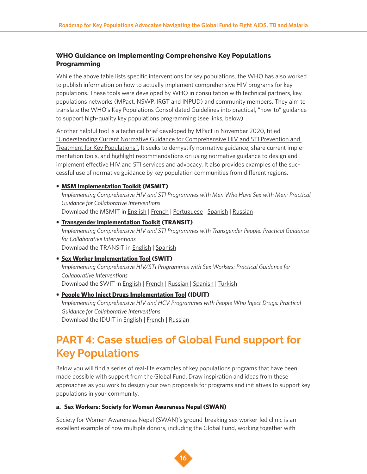# **WHO Guidance on Implementing Comprehensive Key Populations Programming**

While the above table lists specific interventions for key populations, the WHO has also worked to publish information on how to actually implement comprehensive HIV programs for key populations. These tools were developed by WHO in consultation with technical partners, key populations networks (MPact, NSWP, IRGT and INPUD) and community members. They aim to translate the WHO's Key Populations Consolidated Guidelines into practical, "how-to" guidance to support high-quality key populations programming (see links, below).

Another helpful tool is a technical brief developed by MPact in November 2020, titled ["Understanding Current Normative Guidance for Comprehensive HIV and STI Prevention and](https://mpactglobal.org/key-population-empowerment-leadership-program-understanding-normative-guidance-technical-brief-webinar/)  [Treatment for Key Populations".](https://mpactglobal.org/key-population-empowerment-leadership-program-understanding-normative-guidance-technical-brief-webinar/) It seeks to demystify normative guidance, share current implementation tools, and highlight recommendations on using normative guidance to design and implement effective HIV and STI services and advocacy. It also provides examples of the successful use of normative guidance by key population communities from different regions.

### **• [MSM Implementation Toolkit](https://mpactglobal.org/current-projects/msmit/) (MSMIT)**

*Implementing Comprehensive HIV and STI Programmes with Men Who Have Sex with Men: Practical Guidance for Collaborative Interventions* Download the MSMIT in [English](https://mpactglobal.org/wp-content/uploads/2015/11/MSMIT-for-Web.pdf) | [French](https://mpactglobal.org/wp-content/uploads/2017/01/MSMIT_French-version-version-for-Web.pdf) | [Portuguese](https://mpactglobal.org/wp-content/uploads/2017/01/MSMIT_Portuguese-version-For-Web.pdf) | [Spanish](https://mpactglobal.org/wp-content/uploads/2017/01/MSMIT_Spanish-version-for-Web-1.pdf) | [Russian](http://ecom.ngo/msmit-russian/)

# **• [Transgender Implementation Toolkit](https://transglobalactivism.org/transit-implementing-comprehensive-hiv-and-sti-programmes-with-transgender-people-2/) (TRANSIT)** *Implementing Comprehensive HIV and STI Programmes with Transgender People: Practical Guidance for Collaborative Interventions*  Download the TRANSIT in [English](https://www.unfpa.org/sites/default/files/pub-pdf/TRANSIT_report_UNFPA.pdf) | [Spanish](https://www.unfpa.org/sites/default/files/pub-pdf/Transit-Spanish-final-lowres.pdf)

# **• [Sex Worker Implementation Tool](https://www.nswp.org/resource/sex-worker-implementation-tool-swit) (SWIT)** *Implementing Comprehensive HIV/STI Programmes with Sex Workers: Practical Guidance for Collaborative Interventions* Download the SWIT in [English](https://www.nswp.org/sites/nswp.org/files/SWIT_en_UNDP%20logo.pdf) | [French](https://www.who.int/hiv/pub/sti/sex_worker_implementation/fr/) | [Russian](https://www.who.int/hiv/pub/sti/sex_worker_implementation/ru/) | [Spanish](https://www.who.int/hiv/pub/sti/sex_worker_implementation/es/) | [Turkish](http://apps.who.int/iris/bitstream/10665/90000/9/9789241506182-tur.pdf?ua=1)

# **• [People Who Inject Drugs Implementation Tool](https://www.inpud.net/en/iduit-implementing-comprehensive-hiv-and-hcv-programmes-people-who-inject-drugs) (IDUIT)** *Implementing Comprehensive HIV and HCV Programmes with People Who Inject Drugs: Practical Guidance for Collaborative Interventions* Download the IDUIT in [English](https://www.inpud.net/sites/default/files/IDUIT%205Apr2017%20for%20web.pdf) | [French](https://www.inpud.net/sites/default/files/INDUIT%20French%208MB.pdf) | [Russian](https://www.inpud.net/sites/default/files/IDUIT_RU_new_Final.pdf)

# **PART 4: Case studies of Global Fund support for Key Populations**

Below you will find a series of real-life examples of key populations programs that have been made possible with support from the Global Fund. Draw inspiration and ideas from these approaches as you work to design your own proposals for programs and initiatives to support key populations in your community.

#### **a. Sex Workers: Society for Women Awareness Nepal (SWAN)**

Society for Women Awareness Nepal (SWAN)'s ground-breaking sex worker-led clinic is an excellent example of how multiple donors, including the Global Fund, working together with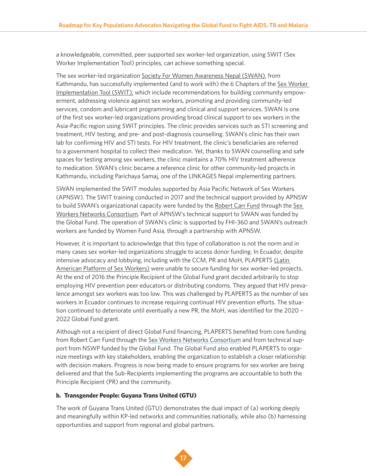a knowledgeable, committed, peer supported sex worker-led organization, using SWIT (Sex Worker Implementation Tool) principles, can achieve something special.

The sex worker-led organization Society For Women Awareness Nepal (SWAN), from Kathmandu, has successfully implemented (and to work with) the 6 Chapters of the Sex Worker [Implementation Tool \(SWIT\),](https://www.who.int/hiv/pub/sti/sex_worker_implementation/en/) which include recommendations for building community empowerment, addressing violence against sex workers, promoting and providing community-led services, condom and lubricant programming and clinical and support services. SWAN is one of the first sex worker-led organizations providing broad clinical support to sex workers in the Asia-Pacific region using SWIT principles. The clinic provides services such as STI screening and treatment, HIV testing, and pre- and post-diagnosis counselling. SWAN's clinic has their own lab for confirming HIV and STI tests. For HIV treatment, the clinic's beneficiaries are referred to a government hospital to collect their medication. Yet, thanks to SWAN counselling and safe spaces for testing among sex workers, the clinic maintains a 70% HIV treatment adherence to medication. SWAN's clinic became a reference clinic for other community-led projects in Kathmandu, including Parichaya Samaj, one of the LINKAGES Nepal implementing partners.

SWAN implemented the SWIT modules supported by Asia Pacific Network of Sex Workers (APNSW). The SWIT training conducted in 2017 and the technical support provided by APNSW to build SWAN's organizational capacity were funded by the [Robert Carr Fund](https://robertcarrfund.org/) through the [Sex](https://www.nswp.org/what-we-do/sex-worker-networks-consortium)  [Workers Networks Consortium](https://www.nswp.org/what-we-do/sex-worker-networks-consortium). Part of APNSW's technical support to SWAN was funded by the Global Fund. The operation of SWAN's clinic is supported by FHI-360 and SWAN's outreach workers are funded by Women Fund Asia, through a partnership with APNSW.

However, it is important to acknowledge that this type of collaboration is not the norm and in many cases sex worker-led organizations struggle to access donor funding. In Ecuador, despite intensive advocacy and lobbying, including with the CCM, PR and MoH, PLAPERTS [\(Latin](https://plaperts.nswp.org/)  [American Platform of Sex Workers\)](https://plaperts.nswp.org/) were unable to secure funding for sex worker-led projects. At the end of 2016 the Principle Recipient of the Global Fund grant decided arbitrarily to stop employing HIV prevention peer educators or distributing condoms. They argued that HIV prevalence amongst sex workers was too low. This was challenged by PLAPERTS as the number of sex workers in Ecuador continues to increase requiring continual HIV prevention efforts. The situation continued to deteriorate until eventually a new PR, the MoH, was identified for the 2020 – 2022 Global Fund grant.

Although not a recipient of direct Global Fund financing, PLAPERTS benefited from core funding from Robert Carr Fund through the [Sex Workers Networks Consortium](https://www.nswp.org/what-we-do/sex-worker-networks-consortium) and from technical support from NSWP funded by the Global Fund. The Global Fund also enabled PLAPERTS to organize meetings with key stakeholders, enabling the organization to establish a closer relationship with decision makers. Progress is now being made to ensure programs for sex worker are being delivered and that the Sub-Recipients implementing the programs are accountable to both the Principle Recipient (PR) and the community.

#### **b. Transgender People: Guyana Trans United (GTU)**

The work of Guyana Trans United (GTU) demonstrates the dual impact of (a) working deeply and meaningfully within KP-led networks and communities nationally, while also (b) harnessing opportunities and support from regional and global partners.

![](_page_16_Picture_8.jpeg)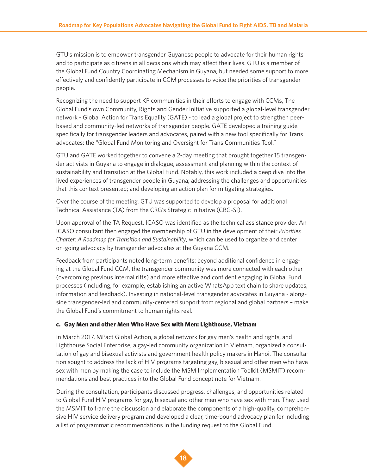GTU's mission is to empower transgender Guyanese people to advocate for their human rights and to participate as citizens in all decisions which may affect their lives. GTU is a member of the Global Fund Country Coordinating Mechanism in Guyana, but needed some support to more effectively and confidently participate in CCM processes to voice the priorities of transgender people.

Recognizing the need to support KP communities in their efforts to engage with CCMs, The Global Fund's own Community, Rights and Gender Initiative supported a global-level transgender network - Global Action for Trans Equality (GATE) - to lead a global project to strengthen peerbased and community-led networks of transgender people. GATE developed a training guide specifically for transgender leaders and advocates, paired with a new tool specifically for Trans advocates: the "Global Fund Monitoring and Oversight for Trans Communities Tool."

GTU and GATE worked together to convene a 2-day meeting that brought together 15 transgender activists in Guyana to engage in dialogue, assessment and planning within the context of sustainability and transition at the Global Fund. Notably, this work included a deep dive into the lived experiences of transgender people in Guyana; addressing the challenges and opportunities that this context presented; and developing an action plan for mitigating strategies.

Over the course of the meeting, GTU was supported to develop a proposal for additional Technical Assistance (TA) from the CRG's Strategic Initiative (CRG-SI).

Upon approval of the TA Request, ICASO was identified as the technical assistance provider. An ICASO consultant then engaged the membership of GTU in the development of their *Priorities Charter: A Roadmap for Transition and Sustainability*, which can be used to organize and center on-going advocacy by transgender advocates at the Guyana CCM.

Feedback from participants noted long-term benefits: beyond additional confidence in engaging at the Global Fund CCM, the transgender community was more connected with each other (overcoming previous internal rifts) and more effective and confident engaging in Global Fund processes (including, for example, establishing an active WhatsApp text chain to share updates, information and feedback). Investing in national-level transgender advocates in Guyana - alongside transgender-led and community-centered support from regional and global partners – make the Global Fund's commitment to human rights real.

### **c. Gay Men and other Men Who Have Sex with Men: Lighthouse, Vietnam**

In March 2017, MPact Global Action, a global network for gay men's health and rights, and Lighthouse Social Enterprise, a gay-led community organization in Vietnam, organized a consultation of gay and bisexual activists and government health policy makers in Hanoi. The consultation sought to address the lack of HIV programs targeting gay, bisexual and other men who have sex with men by making the case to include the MSM Implementation Toolkit (MSMIT) recommendations and best practices into the Global Fund concept note for Vietnam.

During the consultation, participants discussed progress, challenges, and opportunities related to Global Fund HIV programs for gay, bisexual and other men who have sex with men. They used the MSMIT to frame the discussion and elaborate the components of a high-quality, comprehensive HIV service delivery program and developed a clear, time-bound advocacy plan for including a list of programmatic recommendations in the funding request to the Global Fund.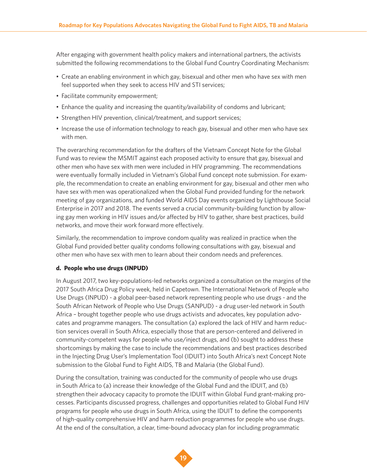After engaging with government health policy makers and international partners, the activists submitted the following recommendations to the Global Fund Country Coordinating Mechanism:

- Create an enabling environment in which gay, bisexual and other men who have sex with men feel supported when they seek to access HIV and STI services;
- Facilitate community empowerment;
- Enhance the quality and increasing the quantity/availability of condoms and lubricant;
- Strengthen HIV prevention, clinical/treatment, and support services;
- Increase the use of information technology to reach gay, bisexual and other men who have sex with men.

The overarching recommendation for the drafters of the Vietnam Concept Note for the Global Fund was to review the MSMIT against each proposed activity to ensure that gay, bisexual and other men who have sex with men were included in HIV programming. The recommendations were eventually formally included in Vietnam's Global Fund concept note submission. For example, the recommendation to create an enabling environment for gay, bisexual and other men who have sex with men was operationalized when the Global Fund provided funding for the network meeting of gay organizations, and funded World AIDS Day events organized by Lighthouse Social Enterprise in 2017 and 2018. The events served a crucial community-building function by allowing gay men working in HIV issues and/or affected by HIV to gather, share best practices, build networks, and move their work forward more effectively.

Similarly, the recommendation to improve condom quality was realized in practice when the Global Fund provided better quality condoms following consultations with gay, bisexual and other men who have sex with men to learn about their condom needs and preferences.

#### **d. People who use drugs (INPUD)**

In August 2017, two key-populations-led networks organized a consultation on the margins of the 2017 South Africa Drug Policy week, held in Capetown. The International Network of People who Use Drugs (INPUD) - a global peer-based network representing people who use drugs - and the South African Network of People who Use Drugs (SANPUD) - a drug user-led network in South Africa – brought together people who use drugs activists and advocates, key population advocates and programme managers. The consultation (a) explored the lack of HIV and harm reduction services overall in South Africa, especially those that are person-centered and delivered in community-competent ways for people who use/inject drugs, and (b) sought to address these shortcomings by making the case to include the recommendations and best practices described in the Injecting Drug User's Implementation Tool (IDUIT) into South Africa's next Concept Note submission to the Global Fund to Fight AIDS, TB and Malaria (the Global Fund).

During the consultation, training was conducted for the community of people who use drugs in South Africa to (a) increase their knowledge of the Global Fund and the IDUIT, and (b) strengthen their advocacy capacity to promote the IDUIT within Global Fund grant-making processes. Participants discussed progress, challenges and opportunities related to Global Fund HIV programs for people who use drugs in South Africa, using the IDUIT to define the components of high-quality comprehensive HIV and harm reduction programmes for people who use drugs. At the end of the consultation, a clear, time-bound advocacy plan for including programmatic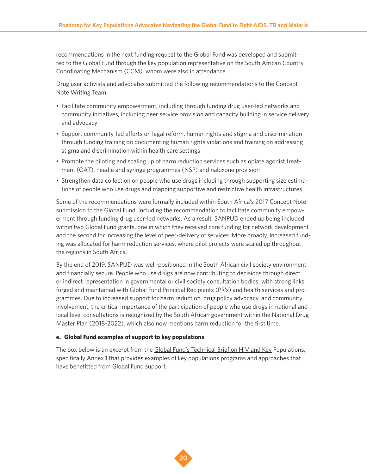recommendations in the next funding request to the Global Fund was developed and submitted to the Global Fund through the key population representative on the South African Country Coordinating Mechanism (CCM), whom were also in attendance.

Drug user activists and advocates submitted the following recommendations to the Concept Note Writing Team.

- Facilitate community empowerment, including through funding drug user-led networks and community initiatives, including peer service provision and capacity building in service delivery and advocacy
- Support community-led efforts on legal reform, human rights and stigma and discrimination through funding training on documenting human rights violations and training on addressing stigma and discrimination within health care settings
- Promote the piloting and scaling up of harm reduction services such as opiate agonist treatment (OAT), needle and syringe programmes (NSP) and naloxone provision
- Strengthen data collection on people who use drugs including through supporting size estimations of people who use drugs and mapping supportive and restrictive health infrastructures

Some of the recommendations were formally included within South Africa's 2017 Concept Note submission to the Global Fund, including the recommendation to facilitate community empowerment through funding drug user-led networks. As a result, SANPUD ended up being included within two Global Fund grants, one in which they received core funding for network development and the second for increasing the level of peer-delivery of services. More broadly, increased funding was allocated for harm reduction services, where pilot projects were scaled up throughout the regions in South Africa.

By the end of 2019, SANPUD was well-positioned in the South African civil society environment and financially secure. People who use drugs are now contributing to decisions through direct or indirect representation in governmental or civil society consultation bodies, with strong links forged and maintained with Global Fund Principal Recipients (PR's) and health services and programmes. Due to increased support for harm reduction, drug policy advocacy, and community involvement, the critical importance of the participation of people who use drugs in national and local level consultations is recognized by the South African government within the National Drug Master Plan (2018-2022), which also now mentions harm reduction for the first time.

### **e. Global Fund examples of support to key populations**

The box below is an excerpt from the [Global Fund's Technical Brief on HIV and Key](https://www.theglobalfund.org/media/4794/core_keypopulations_technicalbrief_en.pdf) Populations, specifically Annex 1 that provides examples of key populations programs and approaches that have benefitted from Global Fund support.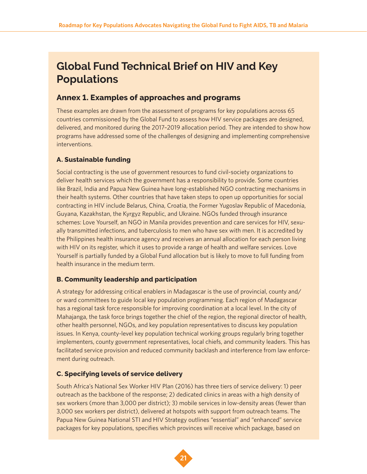# **Global Fund Technical Brief on HIV and Key Populations**

# **Annex 1. Examples of approaches and programs**

These examples are drawn from the assessment of programs for key populations across 65 countries commissioned by the Global Fund to assess how HIV service packages are designed, delivered, and monitored during the 2017–2019 allocation period. They are intended to show how programs have addressed some of the challenges of designing and implementing comprehensive interventions.

# **A. Sustainable funding**

Social contracting is the use of government resources to fund civil-society organizations to deliver health services which the government has a responsibility to provide. Some countries like Brazil, India and Papua New Guinea have long-established NGO contracting mechanisms in their health systems. Other countries that have taken steps to open up opportunities for social contracting in HIV include Belarus, China, Croatia, the Former Yugoslav Republic of Macedonia, Guyana, Kazakhstan, the Kyrgyz Republic, and Ukraine. NGOs funded through insurance schemes: Love Yourself, an NGO in Manila provides prevention and care services for HIV, sexually transmitted infections, and tuberculosis to men who have sex with men. It is accredited by the Philippines health insurance agency and receives an annual allocation for each person living with HIV on its register, which it uses to provide a range of health and welfare services. Love Yourself is partially funded by a Global Fund allocation but is likely to move to full funding from health insurance in the medium term.

# **B. Community leadership and participation**

A strategy for addressing critical enablers in Madagascar is the use of provincial, county and/ or ward committees to guide local key population programming. Each region of Madagascar has a regional task force responsible for improving coordination at a local level. In the city of Mahajanga, the task force brings together the chief of the region, the regional director of health, other health personnel, NGOs, and key population representatives to discuss key population issues. In Kenya, county-level key population technical working groups regularly bring together implementers, county government representatives, local chiefs, and community leaders. This has facilitated service provision and reduced community backlash and interference from law enforcement during outreach.

# **C. Specifying levels of service delivery**

South Africa's National Sex Worker HIV Plan (2016) has three tiers of service delivery: 1) peer outreach as the backbone of the response; 2) dedicated clinics in areas with a high density of sex workers (more than 3,000 per district); 3) mobile services in low-density areas (fewer than 3,000 sex workers per district), delivered at hotspots with support from outreach teams. The Papua New Guinea National STI and HIV Strategy outlines "essential" and "enhanced" service packages for key populations, specifies which provinces will receive which package, based on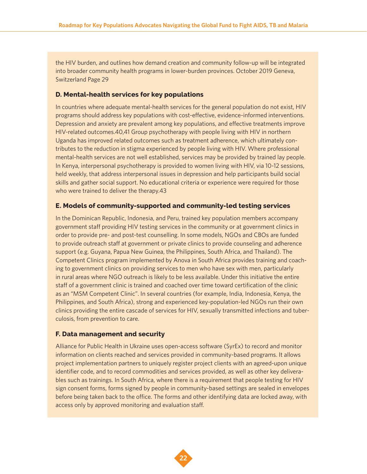the HIV burden, and outlines how demand creation and community follow-up will be integrated into broader community health programs in lower-burden provinces. October 2019 Geneva, Switzerland Page 29

#### **D. Mental-health services for key populations**

In countries where adequate mental-health services for the general population do not exist, HIV programs should address key populations with cost-effective, evidence-informed interventions. Depression and anxiety are prevalent among key populations, and effective treatments improve HIV-related outcomes.40,41 Group psychotherapy with people living with HIV in northern Uganda has improved related outcomes such as treatment adherence, which ultimately contributes to the reduction in stigma experienced by people living with HIV. Where professional mental-health services are not well established, services may be provided by trained lay people. In Kenya, interpersonal psychotherapy is provided to women living with HIV, via 10-12 sessions, held weekly, that address interpersonal issues in depression and help participants build social skills and gather social support. No educational criteria or experience were required for those who were trained to deliver the therapy.43

#### **E. Models of community-supported and community-led testing services**

In the Dominican Republic, Indonesia, and Peru, trained key population members accompany government staff providing HIV testing services in the community or at government clinics in order to provide pre- and post-test counselling. In some models, NGOs and CBOs are funded to provide outreach staff at government or private clinics to provide counseling and adherence support (e.g. Guyana, Papua New Guinea, the Philippines, South Africa, and Thailand). The Competent Clinics program implemented by Anova in South Africa provides training and coaching to government clinics on providing services to men who have sex with men, particularly in rural areas where NGO outreach is likely to be less available. Under this initiative the entire staff of a government clinic is trained and coached over time toward certification of the clinic as an "MSM Competent Clinic". In several countries (for example, India, Indonesia, Kenya, the Philippines, and South Africa), strong and experienced key-population-led NGOs run their own clinics providing the entire cascade of services for HIV, sexually transmitted infections and tuberculosis, from prevention to care.

#### **F. Data management and security**

Alliance for Public Health in Ukraine uses open-access software (SyrEx) to record and monitor information on clients reached and services provided in community-based programs. It allows project implementation partners to uniquely register project clients with an agreed-upon unique identifier code, and to record commodities and services provided, as well as other key deliverables such as trainings. In South Africa, where there is a requirement that people testing for HIV sign consent forms, forms signed by people in community-based settings are sealed in envelopes before being taken back to the office. The forms and other identifying data are locked away, with access only by approved monitoring and evaluation staff.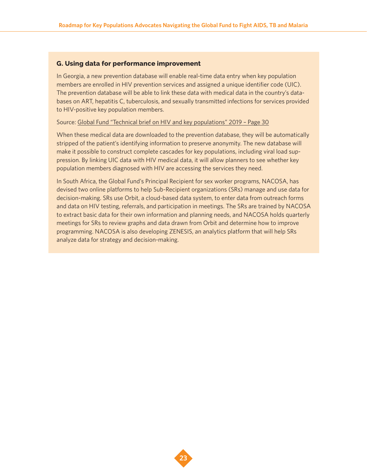### **G. Using data for performance improvement**

In Georgia, a new prevention database will enable real-time data entry when key population members are enrolled in HIV prevention services and assigned a unique identifier code (UIC). The prevention database will be able to link these data with medical data in the country's databases on ART, hepatitis C, tuberculosis, and sexually transmitted infections for services provided to HIV-positive key population members.

#### Source: [Global Fund "Technical brief on HIV and key populations" 2019 – Page 30](https://www.theglobalfund.org/media/4794/core_keypopulations_technicalbrief_en.pdf)

When these medical data are downloaded to the prevention database, they will be automatically stripped of the patient's identifying information to preserve anonymity. The new database will make it possible to construct complete cascades for key populations, including viral load suppression. By linking UIC data with HIV medical data, it will allow planners to see whether key population members diagnosed with HIV are accessing the services they need.

In South Africa, the Global Fund's Principal Recipient for sex worker programs, NACOSA, has devised two online platforms to help Sub-Recipient organizations (SRs) manage and use data for decision-making. SRs use Orbit, a cloud-based data system, to enter data from outreach forms and data on HIV testing, referrals, and participation in meetings. The SRs are trained by NACOSA to extract basic data for their own information and planning needs, and NACOSA holds quarterly meetings for SRs to review graphs and data drawn from Orbit and determine how to improve programming. NACOSA is also developing ZENESIS, an analytics platform that will help SRs analyze data for strategy and decision-making.

![](_page_22_Picture_6.jpeg)